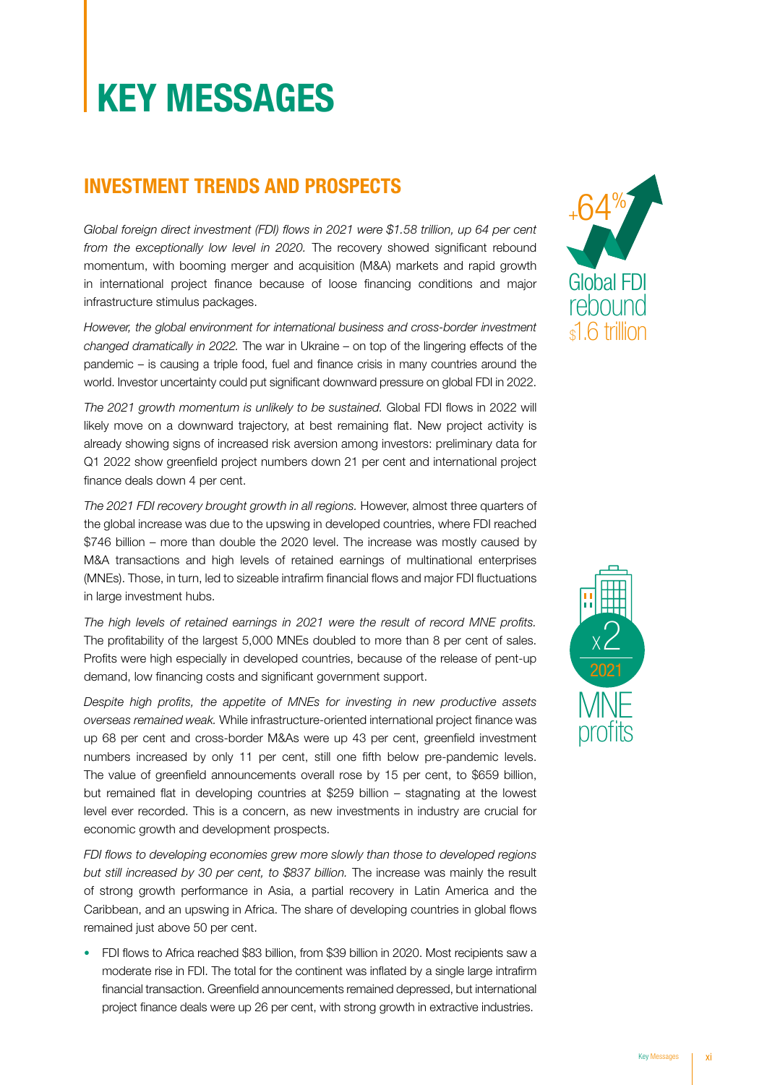# KEY MESSAGES

### INVESTMENT TRENDS AND PROSPECTS

*Global foreign direct investment (FDI) flows in 2021 were \$1.58 trillion, up 64 per cent*  from the exceptionally low level in 2020. The recovery showed significant rebound<br>momentum, with booming merger and acquisition (M&A) markets and rapid growth momentum, with booming merger and acquisition (M&A) markets and rapid growth momentum, with booming merger and acquisition (M&A) markets and rapid growth<br>in international project finance because of loose financing conditions and major infrastructure stimulus packages. trillion, up 64 per ce<br>d significant reboui

However, the global environment for international business and cross-border investment *changed dramatically in 2022.* The war in Ukraine – on top of the lingering effects of the pandemic – is causing a triple food, fuel and finance crisis in many countries around the world. Investor uncertainty could put significant downward pressure on global FDI in 2022.<br>The 2021 growth momentum is unlikely to be sustained. Global FDI flows in 2022 will

*The 2021 growth momentum is unlikely to be sustained.* Global FDI flows in 2022 will likely move on a downward trajectory, at best remaining flat. New project activity is already showing signs of increased risk aversion among investors: preliminary data for Q1 2022 show greenfield project numbers down 21 per cent and international project<br>finance deals down 4 per cent. finance deals down 4 per cent. *tained.* Global FDI f<br>Imaining flat. New  $2012$ 

*The 2021 FDI recovery brought growth in all regions.* However, almost three quarters of the global increase was due to the upswing in developed countries, where FDI reached \$746 billion – more than double the 2020 level. The increase was mostly caused by M&A transactions and high levels of retained earnings of multinational enterprises (MNEs). Those, in turn, led to sizeable intrafirm financial flows and major FDI fluctuations in large investment hubs. ultinational enterp<br>d major FDI fluctua<br>

in large investment hubs.<br>*The high levels of retained earnings in 2021 were the result of record MNE profits.* The nigh levels of retained earnings in 2021 were the result of record MINE profits.<br>The profitability of the largest 5,000 MNEs doubled to more than 8 per cent of sales. Profits were high especially in developed countries, because of the release of pent-up demand, low financing costs and significant government support. ause of<br>t suppo

*Despite high profits, the appetite of MNEs for investing in new productive assets overseas remained weak.* While infrastructure-oriented international project finance was up 68 per cent and cross-border M&As were up 43 per cent, greenfield investment numbers increased by only 11 per cent, still one fifth below pre-pandemic levels. The value of greenfield announcements overall rose by 15 per cent, to \$659 billion, The value of greenfield announcements overall rose by 15 per cent, to \$659 billion,<br>but remained flat in developing countries at \$259 billion – stagnating at the lowest<br>level ever recorded. This is a concern, as new invest level ever recorded. This is a concern, as new investments in industry are crucial for economic growth and development prospects. Developed

economic growth and development prospects.<br>FDI flows to developing economies grew more slowly than those to developed regions *but still increased by 30 per cent, to \$837 billion.* The increase was mainly the result of strong growth performance in Asia. a partial recovery in Latin America and the of strong growth performance in Asia, a partial recovery in Latin America and the Caribbean, and an upswing in Africa. The share of developing countries in global flows Developing remained just above 50 per cent. remained just above 50 per cent.<br>• FDI flows to Africa reached \$83 billion, from \$39 billion in 2020. Most recipients saw a

moderate rise in FDI. The total for the continent was inflated by a single large intrafirm moderate rise in FDI. The total for the continent was inflated by a single large intrafirm<br>financial transaction. Greenfield announcements remained depressed, but international project finance deals were up 26 per cent, with strong growth in extractive industries.





& energy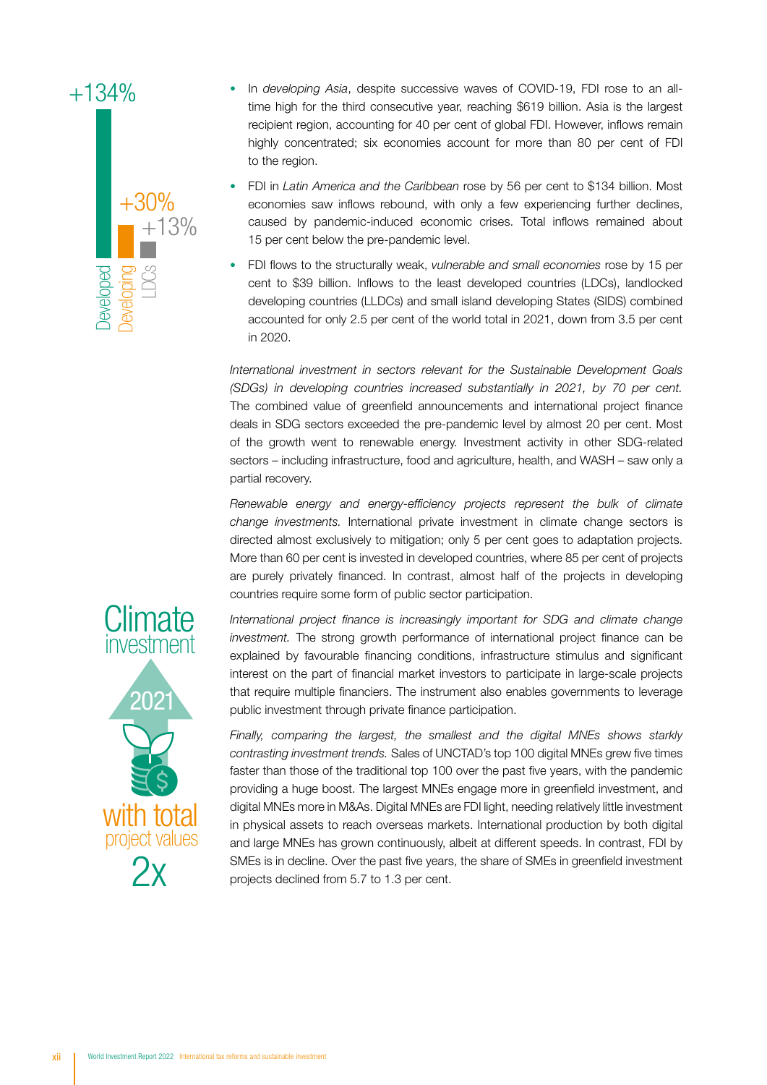## +134%



- In *developing Asia*, despite successive waves of COVID-19, FDI rose to an alltime high for the third consecutive year, reaching \$619 billion. Asia is the largest recipient region, accounting for 40 per cent of global FDI. However, inflows remain highly concentrated; six economies account for more than 80 per cent of FDI to the region.
- FDI in *Latin America and the Caribbean* rose by 56 per cent to \$134 billion. Most economies saw inflows rebound, with only a few experiencing further declines, caused by pandemic-induced economic crises. Total inflows remained about 15 per cent below the pre-pandemic level.
- FDI flows to the structurally weak, *vulnerable and small economies* rose by 15 per cent to \$39 billion. Inflows to the least developed countries (LDCs), landlocked developing countries (LLDCs) and small island developing States (SIDS) combined accounted for only 2.5 per cent of the world total in 2021, down from 3.5 per cent in 2020.

*International investment in sectors relevant for the Sustainable Development Goals (SDGs) in developing countries increased substantially in 2021, by 70 per cent.* The combined value of greenfield announcements and international project finance deals in SDG sectors exceeded the pre-pandemic level by almost 20 per cent. Most of the growth went to renewable energy. Investment activity in other SDG-related sectors – including infrastructure, food and agriculture, health, and WASH – saw only a partial recovery. The completed by deals in the contract of the the contract of the the contract of the the contract of the contract of the contract of the contract of the contract of the contract of the contract of the contract of the cont sector<br>partial

*Renewable energy and energy-efficiency projects represent the bulk of climate change investments.* International private investment in climate change sectors is directed almost exclusively to mitigation; only 5 per cent goes to adaptation projects. More than 60 per cent is invested in developed countries, where 85 per cent of projects<br>are purely privately financed. In contrast, almost half of the projects in developing are purely privately financed. In contrast, almost half of the projects in developing countries require some form of public sector participation.

*International project finance is increasingly important for SDG and climate change investment.* The strong growth performance of international project finance can be rivestment. The strong growth performance of international project in arice can be explained by favourable financing conditions, infrastructure stimulus and significant interest on the part of financial market investors to participate in large-scale projects<br>that require multiple financiers. The instrument also enables governments to leverage that require multiple financiers. The instrument also enables governments to leverage mat require mantiple in lanciers. The institution talso en<br>public investment through private finance participation.

*Finally, comparing the largest, the smallest and the digital MNEs shows starkly contrasting investment trends.* Sales of UNCTAD's top 100 digital MNEs grew five times faster than those of the traditional top 100 over the past five years, with the pandemic providing a huge boost. The largest MNEs engage more in greenfield investment, and digital MNEs more in M&As. Digital MNEs are FDI light, needing relatively little investment in physical assets to reach overseas markets. International production by both digital in physical assets to reach overseas markets. International production by both digital<br>and large MNEs has grown continuously, albeit at different speeds. In contrast, FDI by<br>22.17 visit in the Saturday of the Care of Care SMEs is in decline. Over the past five years, the share of SMEs in greenfield investment projects declined from 5.7 to 1.3 per cent.



• Increase in tax paid by MNEs because of the minimum matrix of the minimum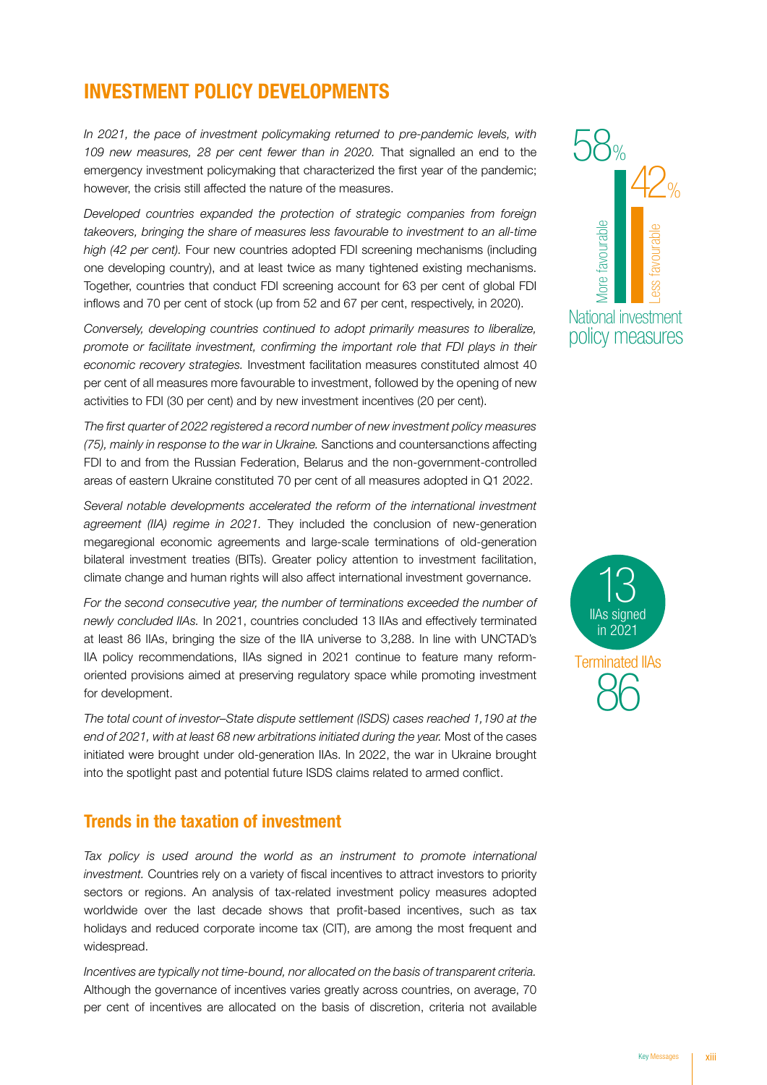### INVESTMENT POLICY DEVELOPMENTS

In 2021, the pace of investment policymaking returned to pre-pandemic levels, with 109 new measures, 28 per cent fewer than in 2020. That signalled an end to the 109 new measures, 28 per cent fewer than in 2020. That signalled an end to the emergency investment policymaking that characterized the first year of the pandemic; however, the crisis still affected the nature of the measures.

*Developed countries expanded the protection of strategic companies from foreign*  Developed countries expanded the protection of strategic companies from foreign<br>takeovers, bringing the share of measures less favourable to investment to an all-time *high (42 per cent).* Four new countries adopted FDI screening mechanisms (including *high (42 per cent).* Four new countries adopted FDI screening mechanisms (including<br>one developing country), and at least twice as many tightened existing mechanisms. Together, countries that conduct FDI screening account for 63 per cent of global FDI<br>inflows and 70 per cent of stock (up from 52 and 67 per cent, repositively, in 2020) inflows and 70 per cent of stock (up from 52 and 67 per cent, respectively, in 2020).

*Conversely, developing countries continued to adopt primarily measures to liberalize, promote or facilitate investment, confirming the important role that FDI plays in their economic recovery strategies.* Investment facilitation measures constituted almost 40 per cent of all measures more favourable to investment, followed by the opening of new activities to FDI (30 per cent) and by new investment incentives (20 per cent).

*The first quarter of 2022 registered a record number of new investment policy measures (75), mainly in response to the war in Ukraine.* Sanctions and countersanctions affecting (75), mainly in response to the war in Ukraine. Sanctions and countersanctions affecting FDI to and from the Russian Federation, Belarus and the non-government-controlled areas of eastern Ukraine constituted 70 per cent of all measures adopted in Q1 2022.

Several notable developments accelerated the reform of the international investment *agreement (IIA) regime in 2021.* They included the conclusion of new-generation megaregional economic agreements and large-scale terminations of old-generation bilateral investment treaties (BITs). Greater policy attention to investment facilitation, climate change and human rights will also affect international investment governance. measures and<br>of the interpretent<br>onclusion or new-g<br>ns of old-g<br>vestment fa

*For the second consecutive year, the number of terminations exceeded the number of newly concluded IIAs.* In 2021, countries concluded 13 IIAs and effectively terminated at least 86 IIAs, bringing the size of the IIA universe to 3,288. In line with UNCTAD's IIA policy recommendations, IIAs signed in 2021 continue to feature many reformoriented provisions aimed at preserving regulatory space while promoting investment for development. ns<br>s a<br>le<br>wh d<br>tiv<br>e<br>ptir

The total count of investor–State dispute settlement (ISDS) cases reached 1,190 at the *end of 2021, with at least 68 new arbitrations initiated during the year.* Most of the cases initiated were brought under old-generation IIAs. In 2022, the war in Ukraine brought into the spotlight past and potential future ISDS claims related to armed conflict.

#### Trends in the taxation of investment

**Trends in the taxation of investment**<br>Tax policy is used around the world as an instrument to promote international *investment.* Countries rely on a variety of fiscal incentives to attract investors to priority minimum commissions, on a randy or listen incommode to attract investore to pricity<br>sectors or regions. An analysis of tax-related investment policy measures adopted worldwide over the last decade shows that profit-based incentives, such as tax holidays and reduced corporate income tax (CIT), are among the most frequent and widespread. to promote international<br>attract investors to priority<br>policy measures adopted<br>I incentives, such as tax<br>ng the most frequent and

*Incentives are typically not time-bound, nor allocated on the basis of transparent criteria.* Although the governance of incentives varies greatly across countries, on average, 70 per cent of incentives are allocated on the basis of discretion, criteria not available The basis of transp<br>cross countries, or<br>discretion, criteria





incentive and the control of the control of the control of the control of the control of the control of the co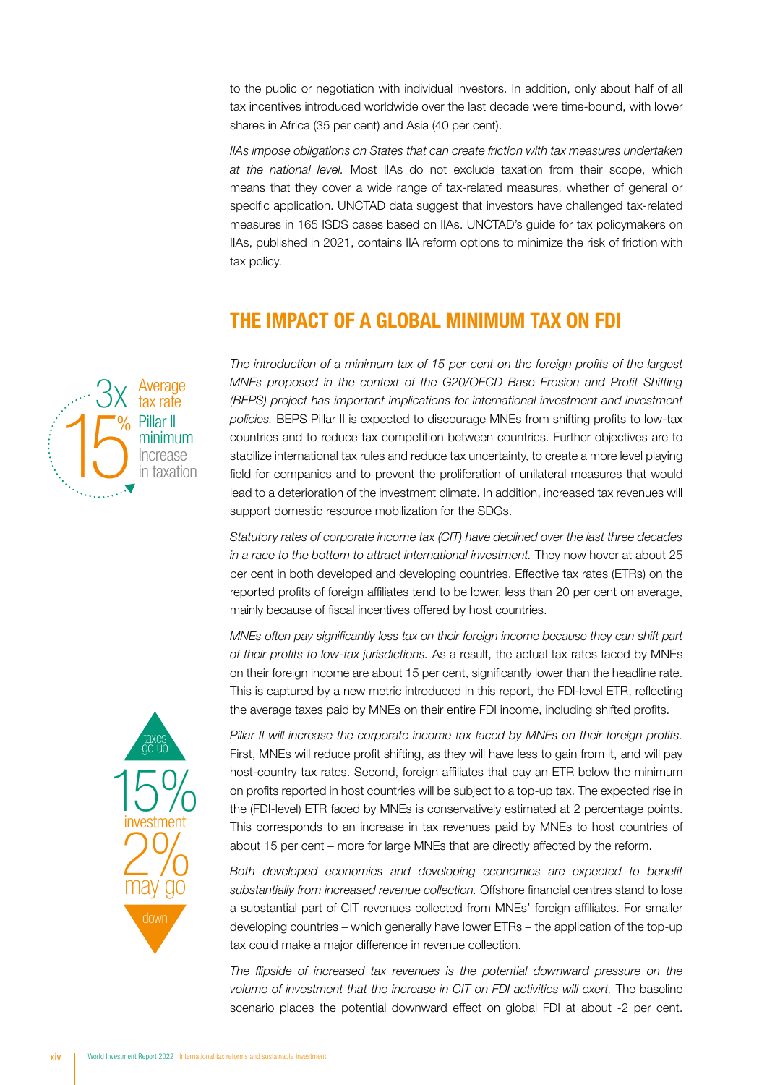to the public or negotiation with individual investors. In addition, only about half of all tax incentives introduced worldwide over the last decade were time-bound, with lower shares in Africa (35 per cent) and Asia (40 per cent). or nego<br>s introdu o the<br>ax inc

*IIAs impose obligations on States that can create friction with tax measures undertaken*<br> *at the national level.* Most IIAs do not exclude taxation from their scope, which<br>
measure that they cover a vide rease of tay rel *at the national level.* Most IIAs do not exclude taxation from their scope, which means that they cover a wide range of tax-related measures, whether of general or specific application. UNCTAD data suggest that investors have challenged tax-related measures in 165 ISDS cases based on IIAs. UNCTAD's guide for tax policymakers on IIAs, published in 2021, contains IIA reform options to minimize the risk of friction with tax policy. tax policy. bligatic<br>al leve<br>2014.00 As, publi<br>ux policy.<br>.

#### THE IMPACT OF A GLOBAL MINIMUM TAX ON FDI

*The introduction of a minimum tax of 15 per cent on the foreign profits of the largest MNEs proposed in the context of the G20/OECD Base Erosion and Profit Shifting (BEPS) project has important implications for international investment and investment policies.* BEPS Pillar II is expected to discourage MNEs from shifting profits to low-tax countries and to reduce tax competition betwe policies. BEPS Pillar II is expected to discourage MNEs from shifting profits to low-tax countries and to reduce tax competition between countries. Further objectives are to stabilize international tax rules and reduce tax uncertainty, to create a more level playing policies. BEPS Pillar II is expected to discourage MNEs from shifting profits to low-tax<br>countries and to reduce tax competition between countries. Further objectives are to<br>stabilize international tax rules and reduce tax lead to a deterioration of the investment climate. In addition, increased tax revenues will support domestic resource mobilization for the SDGs. support domestic resource mobilization for the SDGs. MNE

support domestic resource mobilization for the SDGs.<br>*Statutory rates of corporate income tax (CIT) have declined over the last three decades in a race to the bottom to attract international investment.* They now hover at about 25 per cent in both developed and developing countries. Effective tax rates (ETRs) on the reported profits of foreign affiliates tend to be lower, less than 20 per cent on average, mainly because of fiscal incentives offered by host countries. *y rates of corporate inc*<br>to the bottom to attra<br>in both developed and<br>profits of foreign affiliantly in a race to the botto<br>per cent in both dev<br>reported profits of for<br>mainly because of fis

MNEs often pay significantly less tax on their foreign income because they can shift part of their profits to low-tax jurisdictions. As a result, the actual tax rates faced by MNEs on their foreign income are about 15 per cent, significantly lower than the headline rate. This is captured by a new metric introduced in this report, the FDI-level ETR, reflecting the average taxes paid by MNEs on their entire FDI income, including shifted profits.

Pillar II will increase the corporate income tax faced by MNEs on their foreign profits. First, MNEs will reduce profit shifting, as they will have less to gain from it, and will pay host-country tax rates. Second, foreign affiliates that pay an ETR below the minimum<br>on profits reported in host countries will be subject to a top-up tax. The expected rise in on profits reported in host countries will be subject to a top-up tax. The expected rise in on profits reported in nost countries will be subject to a top-up tax. The expected rise in<br>the (FDI-level) ETR faced by MNEs is conservatively estimated at 2 percentage points. This corresponds to an increase in tax revenues paid by MNEs to host countries of about 15 per cent – more for large MNEs that are directly affected by the reform. /el) ETR face<br>roonds to ar on proins repo<br>the *(*FDI-level)

Both developed economies and developing economies are expected to benefit substantially from increased revenue collection. Offshore financial centres stand to lose a substantial part of CIT revenues collected from MNEs' foreign affiliates. For smaller<br>developing countries – which generally have lower FTRs – the application of the top-up a substantial part of CTT revenues collected from MINES' foreign affiliates. For smaller<br>developing countries – which generally have lower ETRs – the application of the top-up tax could make a major difference in revenue collection.

*The flipside of increased tax revenues is the potential downward pressure on the*  volume of investment that the increase in CIT on FDI activities will exert. The baseline scenario places the potential downward effect on global FDI at about -2 per cent. in<br>Vol The flipside o<br>volume of inve



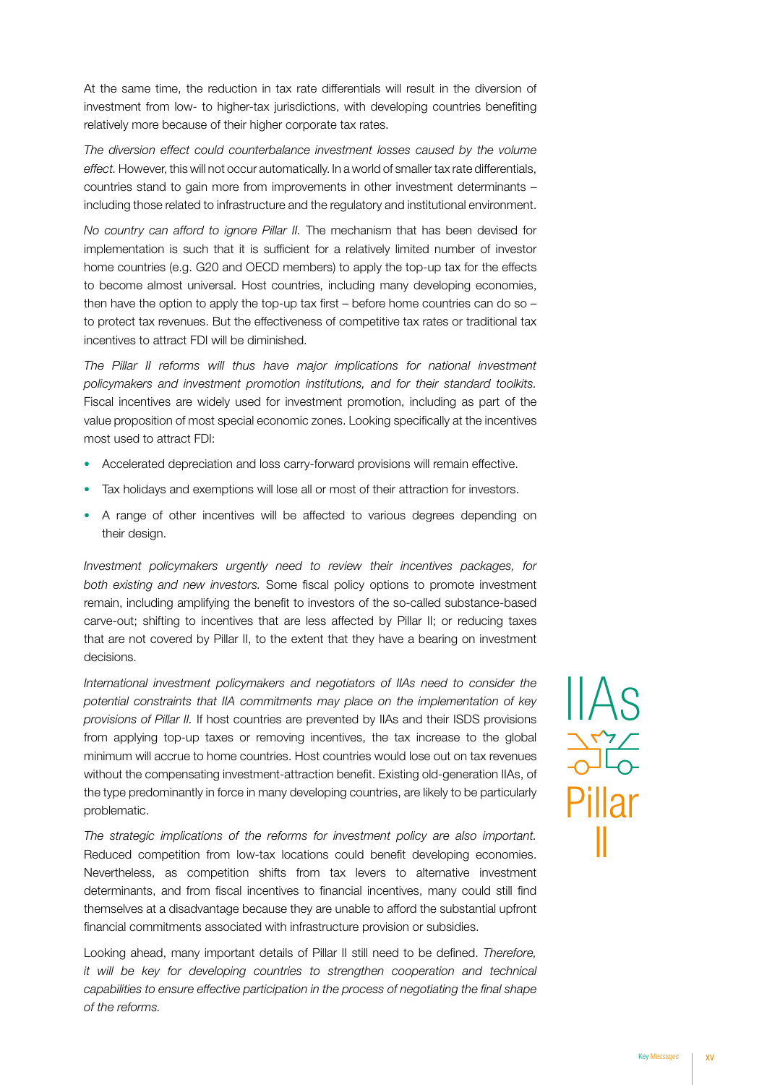At the same time, the reduction in tax rate differentials will result in the diversion of investment from low- to higher-tax jurisdictions, with developing countries benefiting relatively more because of their higher corporate tax rates.

*The diversion effect could counterbalance investment losses caused by the volume effect.* However, this will not occur automatically. In a world of smaller tax rate differentials, countries stand to gain more from improvements in other investment determinants – including those related to infrastructure and the regulatory and institutional environment.

*No country can afford to ignore Pillar II.* The mechanism that has been devised for implementation is such that it is sufficient for a relatively limited number of investor home countries (e.g. G20 and OECD members) to apply the top-up tax for the effects to become almost universal. Host countries, including many developing economies, then have the option to apply the top-up tax first – before home countries can do so – to protect tax revenues. But the effectiveness of competitive tax rates or traditional tax incentives to attract FDI will be diminished.

*The Pillar II reforms will thus have major implications for national investment policymakers and investment promotion institutions, and for their standard toolkits.* Fiscal incentives are widely used for investment promotion, including as part of the value proposition of most special economic zones. Looking specifically at the incentives most used to attract FDI:

- Accelerated depreciation and loss carry-forward provisions will remain effective.
- Tax holidays and exemptions will lose all or most of their attraction for investors.
- A range of other incentives will be affected to various degrees depending on their design.

*Investment policymakers urgently need to review their incentives packages, for*  both existing and new investors. Some fiscal policy options to promote investment remain, including amplifying the benefit to investors of the so-called substance-based carve-out; shifting to incentives that are less affected by Pillar II; or reducing taxes that are not covered by Pillar II, to the extent that they have a bearing on investment decisions.

*International investment policymakers and negotiators of IIAs need to consider the potential constraints that IIA commitments may place on the implementation of key provisions of Pillar II.* If host countries are prevented by IIAs and their ISDS provisions from applying top-up taxes or removing incentives, the tax increase to the global minimum will accrue to home countries. Host countries would lose out on tax revenues without the compensating investment-attraction benefit. Existing old-generation IIAs, of the type predominantly in force in many developing countries, are likely to be particularly problematic.

*The strategic implications of the reforms for investment policy are also important.*  Reduced competition from low-tax locations could benefit developing economies. Nevertheless, as competition shifts from tax levers to alternative investment determinants, and from fiscal incentives to financial incentives, many could still find themselves at a disadvantage because they are unable to afford the substantial upfront financial commitments associated with infrastructure provision or subsidies.

Looking ahead, many important details of Pillar II still need to be defined. *Therefore, it will be key for developing countries to strengthen cooperation and technical capabilities to ensure effective participation in the process of negotiating the final shape of the reforms.* 

IIAs Pillar II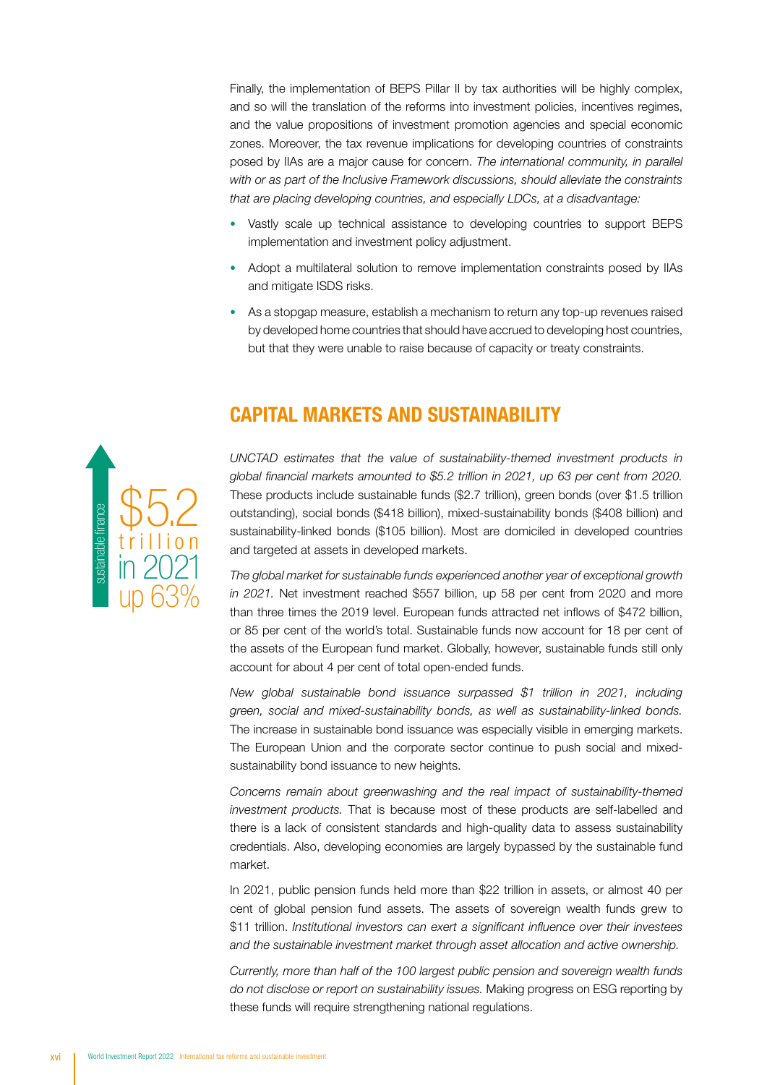Finally, the implementation of BEPS Pillar II by tax authorities will be highly complex, Finally, the implementation of BEPS Pillar II by tax authorities will be highly complex,<br>and so will the translation of the reforms into investment policies, incentives regimes, and the value propositions of investment promotion agencies and special economic zones. Moreover, the tax revenue implications for developing countries of constraints posed by IIAs are a major cause for concern. *The international community, in parallel with or as part of the Inclusive Framework discussions, should alleviate the constraints that are placing developing countries, and especially LDCs, at a disadvantage:* pos<br>with

- Vastly scale up technical assistance to developing countries to support BEPS vastry scale up technical assistance to develop<br>implementation and investment policy adjustment. tha<br>•
	- Adopt a multilateral solution to remove implementation constraints posed by IIAs and mitigate ISDS risks.
	- As a stopgap measure, establish a mechanism to return any top-up revenues raised by developed home countries that should have accrued to developing host countries, but that they were unable to raise because of capacity or treaty constraints.



# CAPITAL MARKETS AND SUSTAINABILITY

*UNCTAD estimates that the value of sustainability-themed investment products in global financial markets amounted to \$5.2 trillion in 2021, up 63 per cent from 2020.* These products include sustainable funds (\$2.7 trillion), green bonds (over \$1.5 trillion outstanding), social bonds (\$418 billion), mixed-sustainability bonds (\$408 billion) and<br>sustainability linked bonds (\$105 billion). Most are demiciled in developed countries. sustainability-linked bonds (\$105 billion). Most are domiciled in developed countries and targeted at assets in developed markets. AD estimates that<br>financial markets and<br>products include sunding

*The global market for sustainable funds experienced another year of exceptional growth in 2021.* Net investment reached \$557 billion, up 58 per cent from 2020 and more than three times the 2019 level. European funds attracted net inflows of \$472 billion, or 85 per cent of the world's total. Sustainable funds now account for 18 per cent of<br>the assets of the European fund market. Globally, however, sustainable funds still only the assets of the European fund market. Globally, however, sustainable funds still only account for about 4 per cent of total open-ended funds. Amability-linked bonds<br>Similar and the signal market for sustand<br>1. Net investment rangle times the 2019<br>Oper cent of the work

*New global sustainable bond issuance surpassed \$1 trillion in 2021, including* green, social and mixed-sustainability bonds, as well as sustainability-linked bonds.<br>The increase in sustainable bond issuance was especially visible in emerging markets. The increase in sustainable bond issuance was especially visible in emerging markets. The increase in sustainable bond issuance was especially visible in emerging markets.<br>The European Union and the corporate sector continue to push social and mixedsustainability bond issuance to new heights. sustainability bond iss<br>sustainability bond iss<br>Concerns remain abo uand

*Concerns remain about greenwashing and the real impact of sustainability-themed investment products.* That is because most of these products are self-labelled and there is a lack of consistent standards and high-quality data to assess sustainability credentials. Also, developing economies are largely bypassed by the sustainable fund market. development in planning in planning in the society of the SDG investment in the society of the society of the s<br>The SDG investment in the society of the society of the society of the society of the society of the society o

In 2021, public pension funds held more than \$22 trillion in assets, or almost 40 per cent of global pension fund assets. The assets of sovereign wealth funds grew to \$11 trillion. *Institutional investors can exert a significant influence over their investees and the sustainable investment market through asset allocation and active ownership.* 

*Currently, more than half of the 100 largest public pension and sovereign wealth funds do not disclose or report on sustainability issues.* Making progress on ESG reporting by these funds will require strengthening national regulations.